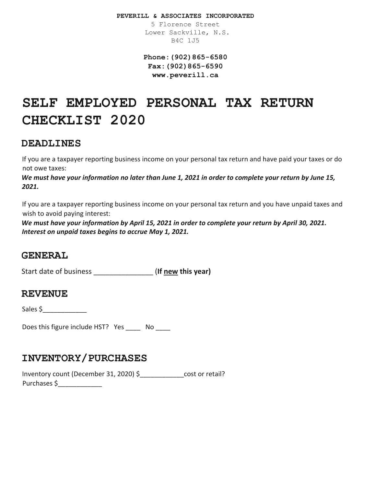**PEVERILL & ASSOCIATES INCORPORATED** 

5 Florence Street Lower Sackville, N.S. B4C 1J5

**Phone:(902)865-6580 Fax:(902)865-6590 www.peverill.ca**

# **SELF EMPLOYED PERSONAL TAX RETURN CHECKLIST 2020**

### **DEADLINES**

If you are a taxpayer reporting business income on your personal tax return and have paid your taxes or do not owe taxes:

*We must have your information no later than June 1, 2021 in order to complete your return by June 15, 2021.*

If you are a taxpayer reporting business income on your personal tax return and you have unpaid taxes and wish to avoid paying interest:

*We must have your information by April 15, 2021 in order to complete your return by April 30, 2021. Interest on unpaid taxes begins to accrue May 1, 2021.*

### **GENERAL**

Start date of business \_\_\_\_\_\_\_\_\_\_\_\_\_\_\_ (**If new this year)**

#### **REVENUE**

Sales  $\frac{1}{2}$ 

Does this figure include HST? Yes \_\_\_\_\_ No \_\_\_\_

## **INVENTORY/PURCHASES**

Inventory count (December 31, 2020) \$\_\_\_\_\_\_\_\_\_\_\_\_cost or retail? Purchases \$\_\_\_\_\_\_\_\_\_\_\_\_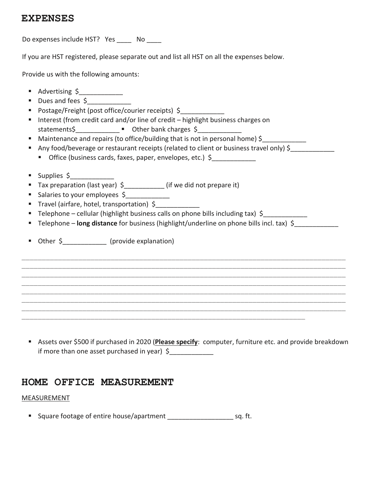### **EXPENSES**

Do expenses include HST? Yes No

If you are HST registered, please separate out and list all HST on all the expenses below.

Provide us with the following amounts:

- Advertising \$
- Dues and fees \$
- Postage/Freight (post office/courier receipts) \$
- Interest (from credit card and/or line of credit highlight business charges on statements\$ **Definition** Other bank charges \$
- Maintenance and repairs (to office/building that is not in personal home) \$
- Any food/beverage or restaurant receipts (related to client or business travel only) \$
	- Office (business cards, faxes, paper, envelopes, etc.) \$
- Supplies  $\zeta$
- Tax preparation (last year) \$ \_\_\_\_\_\_\_\_\_\_\_\_ (if we did not prepare it)
- Salaries to your employees \$
- Travel (airfare, hotel, transportation) \$\_\_\_\_\_\_\_\_\_\_\_\_
- Telephone cellular (highlight business calls on phone bills including tax) \$
- Telephone **long distance** for business (highlight/underline on phone bills incl. tax) \$

\_\_\_\_\_\_\_\_\_\_\_\_\_\_\_\_\_\_\_\_\_\_\_\_\_\_\_\_\_\_\_\_\_\_\_\_\_\_\_\_\_\_\_\_\_\_\_\_\_\_\_\_\_\_\_\_\_\_\_\_\_\_\_\_\_\_\_\_\_\_\_\_\_\_\_\_\_\_\_\_ \_\_\_\_\_\_\_\_\_\_\_\_\_\_\_\_\_\_\_\_\_\_\_\_\_\_\_\_\_\_\_\_\_\_\_\_\_\_\_\_\_\_\_\_\_\_\_\_\_\_\_\_\_\_\_\_\_\_\_\_\_\_\_\_\_\_\_\_\_\_\_\_\_\_\_\_\_\_\_\_ \_\_\_\_\_\_\_\_\_\_\_\_\_\_\_\_\_\_\_\_\_\_\_\_\_\_\_\_\_\_\_\_\_\_\_\_\_\_\_\_\_\_\_\_\_\_\_\_\_\_\_\_\_\_\_\_\_\_\_\_\_\_\_\_\_\_\_\_\_\_\_\_\_\_\_\_\_\_\_\_ \_\_\_\_\_\_\_\_\_\_\_\_\_\_\_\_\_\_\_\_\_\_\_\_\_\_\_\_\_\_\_\_\_\_\_\_\_\_\_\_\_\_\_\_\_\_\_\_\_\_\_\_\_\_\_\_\_\_\_\_\_\_\_\_\_\_\_\_\_\_\_\_\_\_\_\_\_\_\_\_ \_\_\_\_\_\_\_\_\_\_\_\_\_\_\_\_\_\_\_\_\_\_\_\_\_\_\_\_\_\_\_\_\_\_\_\_\_\_\_\_\_\_\_\_\_\_\_\_\_\_\_\_\_\_\_\_\_\_\_\_\_\_\_\_\_\_\_\_\_\_\_\_\_\_\_\_\_\_\_\_ \_\_\_\_\_\_\_\_\_\_\_\_\_\_\_\_\_\_\_\_\_\_\_\_\_\_\_\_\_\_\_\_\_\_\_\_\_\_\_\_\_\_\_\_\_\_\_\_\_\_\_\_\_\_\_\_\_\_\_\_\_\_\_\_\_\_\_\_\_\_\_\_\_\_\_\_\_\_\_\_ \_\_\_\_\_\_\_\_\_\_\_\_\_\_\_\_\_\_\_\_\_\_\_\_\_\_\_\_\_\_\_\_\_\_\_\_\_\_\_\_\_\_\_\_\_\_\_\_\_\_\_\_\_\_\_\_\_\_\_\_\_\_\_\_\_\_\_\_\_\_\_\_\_\_\_\_\_\_\_\_

Other \$\_\_\_\_\_\_\_\_\_\_\_\_ (provide explanation)

 Assets over \$500 if purchased in 2020 (**Please specify**: computer, furniture etc. and provide breakdown if more than one asset purchased in year)  $\oint$ 

\_\_\_\_\_\_\_\_\_\_\_\_\_\_\_\_\_\_\_\_\_\_\_\_\_\_\_\_\_\_\_\_\_\_\_\_\_\_\_\_\_\_\_\_\_\_\_\_\_\_\_\_\_\_\_\_\_\_\_\_\_\_\_\_\_\_\_\_\_\_

## **HOME OFFICE MEASUREMENT**

#### MEASUREMENT

**Square footage of entire house/apartment** sq. ft.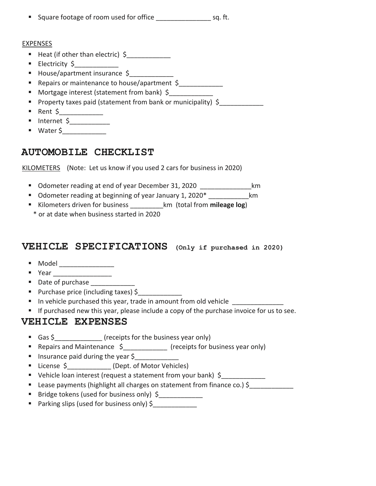| ■ Square footage of room used for office | sq. ft. |
|------------------------------------------|---------|
|                                          |         |

#### **EXPENSES**

- Heat (if other than electric)  $\zeta$
- **Electricity**  $\zeta$
- House/apartment insurance \$
- Repairs or maintenance to house/apartment \$
- Mortgage interest (statement from bank) \$
- Property taxes paid (statement from bank or municipality)  $\oint$
- **Rent \$** \_\_\_\_\_\_\_
- Internet \$\_\_\_\_\_\_\_\_\_\_\_
- Water \$\_\_\_\_\_\_\_\_\_\_\_\_\_\_\_

## **AUTOMOBILE CHECKLIST**

KILOMETERS (Note: Let us know if you used 2 cars for business in 2020)

- Odometer reading at end of year December 31, 2020 \_\_\_\_\_\_\_\_\_\_\_\_\_\_km
- **Odometer reading at beginning of year January 1, 2020\*** Km
- Kilometers driven for business **and the set of the set of the Kilometers** driven for business **km** (total from **mileage log**)
- \* or at date when business started in 2020

## **VEHICLE SPECIFICATIONS (Only if purchased in 2020)**

- $\blacksquare$  Model
- $Year$
- Date of purchase
- Purchase price (including taxes) \$
- In vehicle purchased this year, trade in amount from old vehicle
- If purchased new this year, please include a copy of the purchase invoice for us to see.

## **VEHICLE EXPENSES**

- Gas \$ (receipts for the business year only)
- Repairs and Maintenance \$\_\_\_\_\_\_\_\_\_\_\_\_\_ (receipts for business year only)
- **Insurance paid during the year**  $\frac{1}{2}$
- License \$ (Dept. of Motor Vehicles)
- Vehicle loan interest (request a statement from your bank) \$
- Lease payments (highlight all charges on statement from finance co.) \$
- Bridge tokens (used for business only) \$
- Parking slips (used for business only) \$